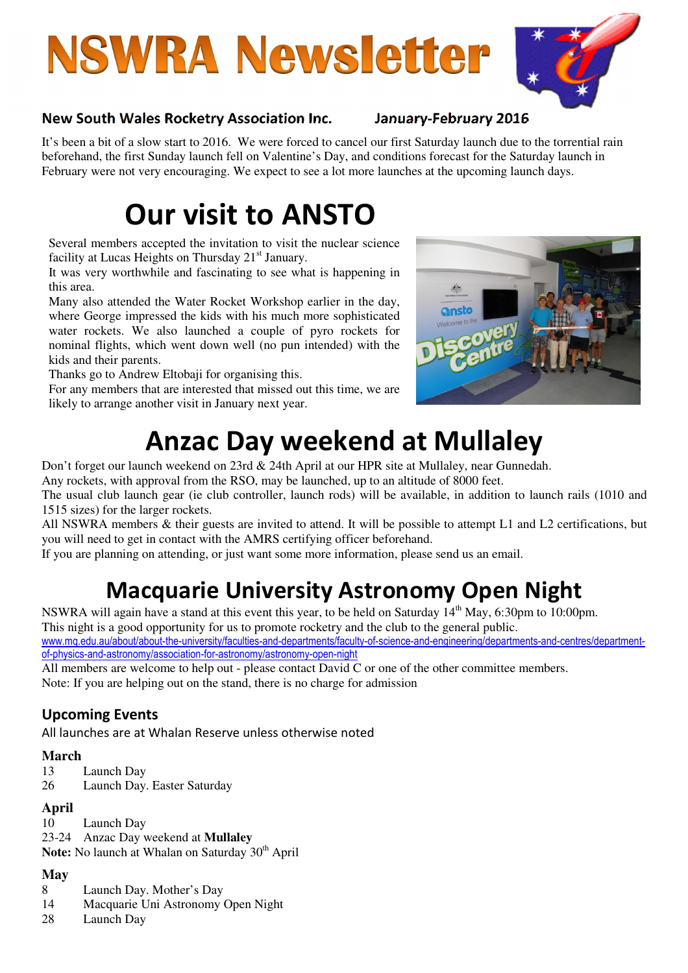# **NSWRA Newsletter**



#### New South Wales Rocketry Association Inc. January-February 2016

It's been a bit of a slow start to 2016. We were forced to cancel our first Saturday launch due to the torrential rain beforehand, the first Sunday launch fell on Valentine's Day, and conditions forecast for the Saturday launch in February were not very encouraging. We expect to see a lot more launches at the upcoming launch days.

# Our visit to ANSTO

Several members accepted the invitation to visit the nuclear science facility at Lucas Heights on Thursday  $21<sup>st</sup>$  January.

It was very worthwhile and fascinating to see what is happening in this area.

Many also attended the Water Rocket Workshop earlier in the day, where George impressed the kids with his much more sophisticated water rockets. We also launched a couple of pyro rockets for nominal flights, which went down well (no pun intended) with the kids and their parents.

Thanks go to Andrew Eltobaji for organising this.

For any members that are interested that missed out this time, we are likely to arrange another visit in January next year.



# Anzac Day weekend at Mullaley

Don't forget our launch weekend on 23rd & 24th April at our HPR site at Mullaley, near Gunnedah.

Any rockets, with approval from the RSO, may be launched, up to an altitude of 8000 feet.

The usual club launch gear (ie club controller, launch rods) will be available, in addition to launch rails (1010 and 1515 sizes) for the larger rockets.

All NSWRA members & their guests are invited to attend. It will be possible to attempt L1 and L2 certifications, but you will need to get in contact with the AMRS certifying officer beforehand.

If you are planning on attending, or just want some more information, please send us an email.

## Macquarie University Astronomy Open Night

NSWRA will again have a stand at this event this year, to be held on Saturday 14<sup>th</sup> May, 6:30pm to 10:00pm.

This night is a good opportunity for us to promote rocketry and the club to the general public.

www.mq.edu.au/about/about-the-university/faculties-and-departments/faculty-of-science-and-engineering/departments-and-centres/departmentof-physics-and-astronomy/association-for-astronomy/astronomy-open-night

All members are welcome to help out - please contact David C or one of the other committee members. Note: If you are helping out on the stand, there is no charge for admission

### Upcoming Events

All launches are at Whalan Reserve unless otherwise noted

#### **March**

- 13 Launch Day
- 26 Launch Day. Easter Saturday

#### **April**

10 Launch Day 23-24 Anzac Day weekend at **Mullaley**  Note: No launch at Whalan on Saturday 30<sup>th</sup> April

#### **May**

- 8 Launch Day. Mother's Day
- 14 Macquarie Uni Astronomy Open Night
- 28 Launch Day